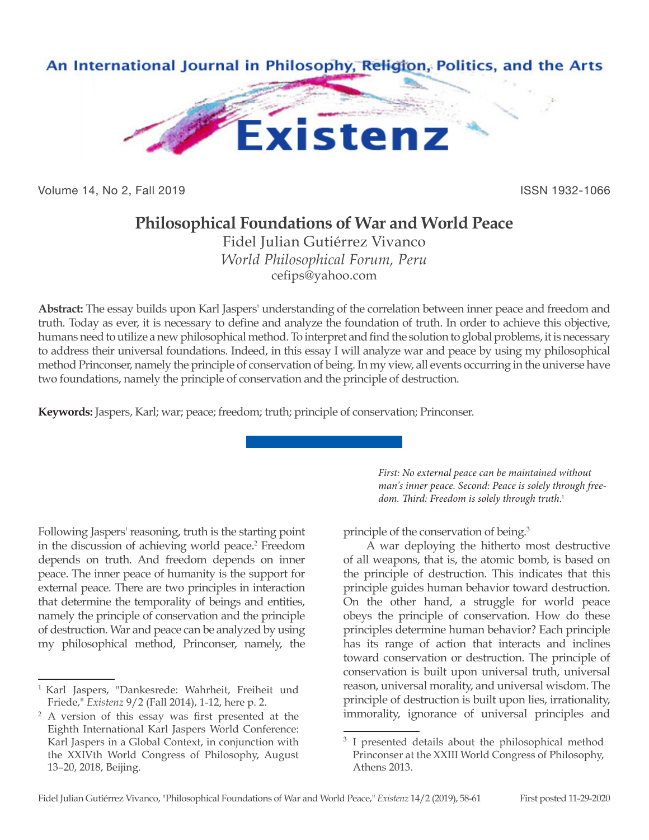

Volume 14, No 2, Fall 2019 ISSN 1932-1066

# **Philosophical Foundations of War and World Peace**

Fidel Julian Gutiérrez Vivanco *World Philosophical Forum, Peru* cefips@yahoo.com

**Abstract:** The essay builds upon Karl Jaspers' understanding of the correlation between inner peace and freedom and truth. Today as ever, it is necessary to define and analyze the foundation of truth. In order to achieve this objective, humans need to utilize a new philosophical method. To interpret and find the solution to global problems, it is necessary to address their universal foundations. Indeed, in this essay I will analyze war and peace by using my philosophical method Princonser, namely the principle of conservation of being. In my view, all events occurring in the universe have two foundations, namely the principle of conservation and the principle of destruction.

**Keywords:** Jaspers, Karl; war; peace; freedom; truth; principle of conservation; Princonser.

Following Jaspers' reasoning, truth is the starting point in the discussion of achieving world peace.2 Freedom depends on truth. And freedom depends on inner peace. The inner peace of humanity is the support for external peace. There are two principles in interaction that determine the temporality of beings and entities, namely the principle of conservation and the principle of destruction. War and peace can be analyzed by using my philosophical method, Princonser, namely, the

*First: No external peace can be maintained without man's inner peace. Second: Peace is solely through freedom. Third: Freedom is solely through truth*. 1

principle of the conservation of being.<sup>3</sup>

A war deploying the hitherto most destructive of all weapons, that is, the atomic bomb, is based on the principle of destruction. This indicates that this principle guides human behavior toward destruction. On the other hand, a struggle for world peace obeys the principle of conservation. How do these principles determine human behavior? Each principle has its range of action that interacts and inclines toward conservation or destruction. The principle of conservation is built upon universal truth, universal reason, universal morality, and universal wisdom. The principle of destruction is built upon lies, irrationality, immorality, ignorance of universal principles and

<sup>&</sup>lt;sup>1</sup> Karl Jaspers, "Dankesrede: Wahrheit, Freiheit und Friede," *Existenz* 9/2 (Fall 2014), 1-12, here p. 2.

<sup>2</sup> A version of this essay was first presented at the Eighth International Karl Jaspers World Conference: Karl Jaspers in a Global Context, in conjunction with the XXIVth World Congress of Philosophy, August 13–20, 2018, Beijing.

I presented details about the philosophical method Princonser at the XXIII World Congress of Philosophy, Athens 2013.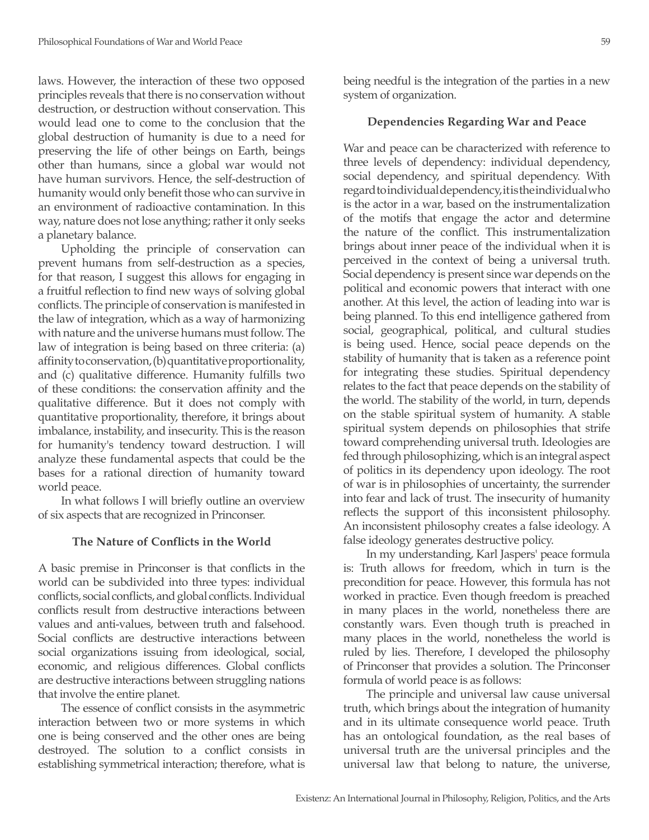laws. However, the interaction of these two opposed principles reveals that there is no conservation without destruction, or destruction without conservation. This would lead one to come to the conclusion that the global destruction of humanity is due to a need for preserving the life of other beings on Earth, beings other than humans, since a global war would not have human survivors. Hence, the self-destruction of humanity would only benefit those who can survive in an environment of radioactive contamination. In this way, nature does not lose anything; rather it only seeks a planetary balance.

Upholding the principle of conservation can prevent humans from self-destruction as a species, for that reason, I suggest this allows for engaging in a fruitful reflection to find new ways of solving global conflicts. The principle of conservation is manifested in the law of integration, which as a way of harmonizing with nature and the universe humans must follow. The law of integration is being based on three criteria: (a) affinity to conservation, (b) quantitative proportionality, and (c) qualitative difference. Humanity fulfills two of these conditions: the conservation affinity and the qualitative difference. But it does not comply with quantitative proportionality, therefore, it brings about imbalance, instability, and insecurity. This is the reason for humanity's tendency toward destruction. I will analyze these fundamental aspects that could be the bases for a rational direction of humanity toward world peace.

In what follows I will briefly outline an overview of six aspects that are recognized in Princonser.

## **The Nature of Conflicts in the World**

A basic premise in Princonser is that conflicts in the world can be subdivided into three types: individual conflicts, social conflicts, and global conflicts. Individual conflicts result from destructive interactions between values and anti-values, between truth and falsehood. Social conflicts are destructive interactions between social organizations issuing from ideological, social, economic, and religious differences. Global conflicts are destructive interactions between struggling nations that involve the entire planet.

The essence of conflict consists in the asymmetric interaction between two or more systems in which one is being conserved and the other ones are being destroyed. The solution to a conflict consists in establishing symmetrical interaction; therefore, what is

being needful is the integration of the parties in a new system of organization.

## **Dependencies Regarding War and Peace**

War and peace can be characterized with reference to three levels of dependency: individual dependency, social dependency, and spiritual dependency. With regard to individual dependency, it is the individual who is the actor in a war, based on the instrumentalization of the motifs that engage the actor and determine the nature of the conflict. This instrumentalization brings about inner peace of the individual when it is perceived in the context of being a universal truth. Social dependency is present since war depends on the political and economic powers that interact with one another. At this level, the action of leading into war is being planned. To this end intelligence gathered from social, geographical, political, and cultural studies is being used. Hence, social peace depends on the stability of humanity that is taken as a reference point for integrating these studies. Spiritual dependency relates to the fact that peace depends on the stability of the world. The stability of the world, in turn, depends on the stable spiritual system of humanity. A stable spiritual system depends on philosophies that strife toward comprehending universal truth. Ideologies are fed through philosophizing, which is an integral aspect of politics in its dependency upon ideology. The root of war is in philosophies of uncertainty, the surrender into fear and lack of trust. The insecurity of humanity reflects the support of this inconsistent philosophy. An inconsistent philosophy creates a false ideology. A false ideology generates destructive policy.

In my understanding, Karl Jaspers' peace formula is: Truth allows for freedom, which in turn is the precondition for peace. However, this formula has not worked in practice. Even though freedom is preached in many places in the world, nonetheless there are constantly wars. Even though truth is preached in many places in the world, nonetheless the world is ruled by lies. Therefore, I developed the philosophy of Princonser that provides a solution. The Princonser formula of world peace is as follows:

The principle and universal law cause universal truth, which brings about the integration of humanity and in its ultimate consequence world peace. Truth has an ontological foundation, as the real bases of universal truth are the universal principles and the universal law that belong to nature, the universe,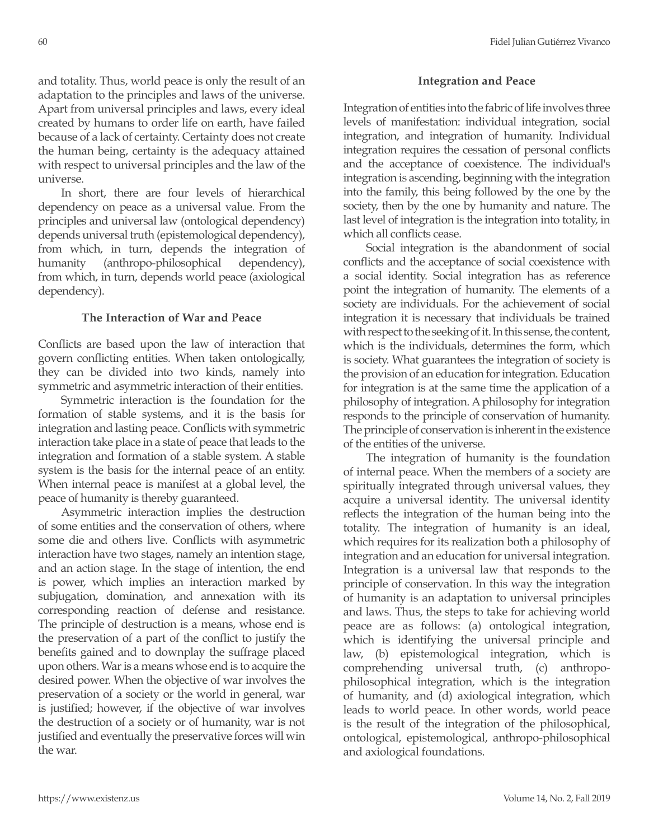and totality. Thus, world peace is only the result of an adaptation to the principles and laws of the universe. Apart from universal principles and laws, every ideal created by humans to order life on earth, have failed because of a lack of certainty. Certainty does not create the human being, certainty is the adequacy attained with respect to universal principles and the law of the universe.

In short, there are four levels of hierarchical dependency on peace as a universal value. From the principles and universal law (ontological dependency) depends universal truth (epistemological dependency), from which, in turn, depends the integration of humanity (anthropo-philosophical dependency), from which, in turn, depends world peace (axiological dependency).

# **The Interaction of War and Peace**

Conflicts are based upon the law of interaction that govern conflicting entities. When taken ontologically, they can be divided into two kinds, namely into symmetric and asymmetric interaction of their entities.

Symmetric interaction is the foundation for the formation of stable systems, and it is the basis for integration and lasting peace. Conflicts with symmetric interaction take place in a state of peace that leads to the integration and formation of a stable system. A stable system is the basis for the internal peace of an entity. When internal peace is manifest at a global level, the peace of humanity is thereby guaranteed.

Asymmetric interaction implies the destruction of some entities and the conservation of others, where some die and others live. Conflicts with asymmetric interaction have two stages, namely an intention stage, and an action stage. In the stage of intention, the end is power, which implies an interaction marked by subjugation, domination, and annexation with its corresponding reaction of defense and resistance. The principle of destruction is a means, whose end is the preservation of a part of the conflict to justify the benefits gained and to downplay the suffrage placed upon others. War is a means whose end is to acquire the desired power. When the objective of war involves the preservation of a society or the world in general, war is justified; however, if the objective of war involves the destruction of a society or of humanity, war is not justified and eventually the preservative forces will win the war.

# **Integration and Peace**

Integration of entities into the fabric of life involves three levels of manifestation: individual integration, social integration, and integration of humanity. Individual integration requires the cessation of personal conflicts and the acceptance of coexistence. The individual's integration is ascending, beginning with the integration into the family, this being followed by the one by the society, then by the one by humanity and nature. The last level of integration is the integration into totality, in which all conflicts cease.

Social integration is the abandonment of social conflicts and the acceptance of social coexistence with a social identity. Social integration has as reference point the integration of humanity. The elements of a society are individuals. For the achievement of social integration it is necessary that individuals be trained with respect to the seeking of it. In this sense, the content, which is the individuals, determines the form, which is society. What guarantees the integration of society is the provision of an education for integration. Education for integration is at the same time the application of a philosophy of integration. A philosophy for integration responds to the principle of conservation of humanity. The principle of conservation is inherent in the existence of the entities of the universe.

The integration of humanity is the foundation of internal peace. When the members of a society are spiritually integrated through universal values, they acquire a universal identity. The universal identity reflects the integration of the human being into the totality. The integration of humanity is an ideal, which requires for its realization both a philosophy of integration and an education for universal integration. Integration is a universal law that responds to the principle of conservation. In this way the integration of humanity is an adaptation to universal principles and laws. Thus, the steps to take for achieving world peace are as follows: (a) ontological integration, which is identifying the universal principle and law, (b) epistemological integration, which is comprehending universal truth, (c) anthropophilosophical integration, which is the integration of humanity, and (d) axiological integration, which leads to world peace. In other words, world peace is the result of the integration of the philosophical, ontological, epistemological, anthropo-philosophical and axiological foundations.